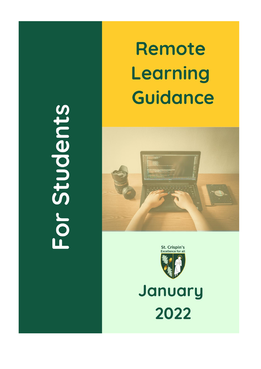## For Students

## Remote Learning **Guidance**





## January 2022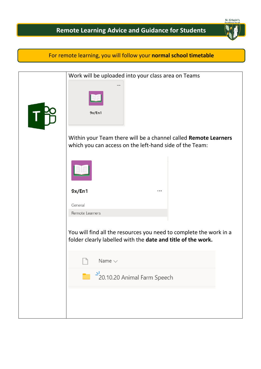

## For remote learning, you will follow your **normal school timetable**

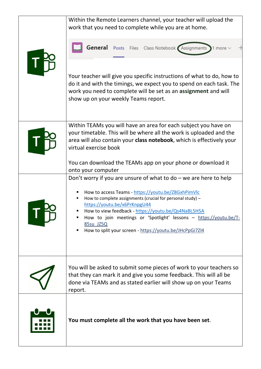|  | Within the Remote Learners channel, your teacher will upload the<br>work that you need to complete while you are at home.                                                                                                                                                                                                                                                                                                        |
|--|----------------------------------------------------------------------------------------------------------------------------------------------------------------------------------------------------------------------------------------------------------------------------------------------------------------------------------------------------------------------------------------------------------------------------------|
|  | General Posts Files Class Notebook Assignments 1 more                                                                                                                                                                                                                                                                                                                                                                            |
|  | Your teacher will give you specific instructions of what to do, how to<br>do it and with the timings, we expect you to spend on each task. The<br>work you need to complete will be set as an assignment and will<br>show up on your weekly Teams report.                                                                                                                                                                        |
|  | Within TEAMs you will have an area for each subject you have on<br>your timetable. This will be where all the work is uploaded and the<br>area will also contain your class notebook, which is effectively your<br>virtual exercise book                                                                                                                                                                                         |
|  | You can download the TEAMs app on your phone or download it<br>onto your computer                                                                                                                                                                                                                                                                                                                                                |
|  | Don't worry if you are unsure of what to $do$ – we are here to help<br>How to access Teams - https://youtu.be/Z8GxhPimVlc<br>How to complete assignments (crucial for personal study) -<br>٠<br>https://youtu.be/x6PrKnpgU44<br>How to view feedback - https://youtu.be/Qs4NaBL5H5A<br>How to join meetings or 'Spotlight' lessons - https://youtu.be/T-<br>85su JZ5Q<br>How to split your screen - https://youtu.be/JHcPpGi7Zl4 |
|  | You will be asked to submit some pieces of work to your teachers so<br>that they can mark it and give you some feedback. This will all be<br>done via TEAMs and as stated earlier will show up on your Teams<br>report.                                                                                                                                                                                                          |
|  | You must complete all the work that you have been set.                                                                                                                                                                                                                                                                                                                                                                           |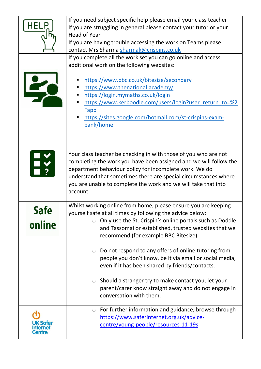|                      | If you need subject specific help please email your class teacher<br>If you are struggling in general please contact your tutor or your<br><b>Head of Year</b><br>If you are having trouble accessing the work on Teams please<br>contact Mrs Sharma sharmak@crispins.co.uk<br>If you complete all the work set you can go online and access<br>additional work on the following websites:<br>https://www.bbc.co.uk/bitesize/secondary<br>https://www.thenational.academy/<br>https://login.mymaths.co.uk/login<br>https://www.kerboodle.com/users/login?user return to=%2<br><b>Fapp</b><br>https://sites.google.com/hotmail.com/st-crispins-exam-<br>bank/home |
|----------------------|------------------------------------------------------------------------------------------------------------------------------------------------------------------------------------------------------------------------------------------------------------------------------------------------------------------------------------------------------------------------------------------------------------------------------------------------------------------------------------------------------------------------------------------------------------------------------------------------------------------------------------------------------------------|
|                      | Your class teacher be checking in with those of you who are not<br>completing the work you have been assigned and we will follow the<br>department behaviour policy for incomplete work. We do<br>understand that sometimes there are special circumstances where<br>you are unable to complete the work and we will take that into<br>account                                                                                                                                                                                                                                                                                                                   |
| <b>ato</b><br>online | Whilst working online from home, please ensure you are keeping<br>yourself safe at all times by following the advice below:<br>Only use the St. Crispin's online portals such as Doddle<br>$\circ$<br>and Tassomai or established, trusted websites that we<br>recommend (for example BBC Bitesize).<br>Do not respond to any offers of online tutoring from<br>$\circ$<br>people you don't know, be it via email or social media,<br>even if it has been shared by friends/contacts.<br>Should a stranger try to make contact you, let your<br>$\circ$<br>parent/carer know straight away and do not engage in<br>conversation with them.                       |
|                      | For further information and guidance, browse through<br>$\circ$<br>https://www.saferinternet.org.uk/advice-<br>centre/young-people/resources-11-19s                                                                                                                                                                                                                                                                                                                                                                                                                                                                                                              |